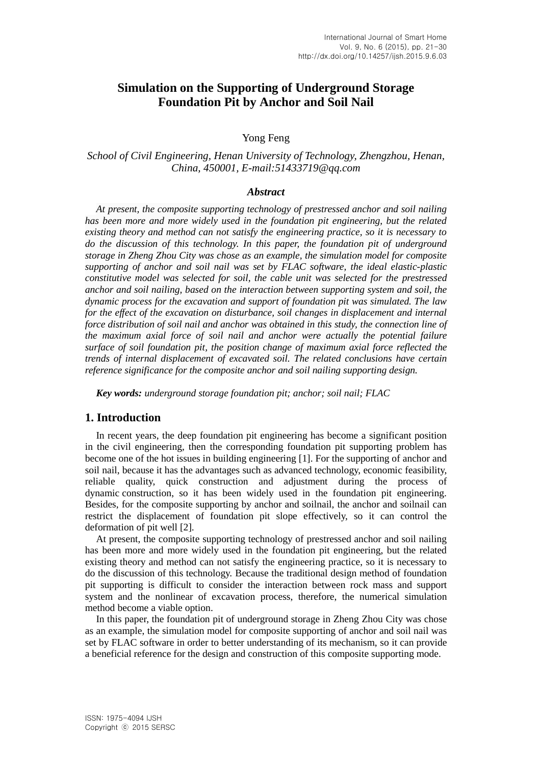# **Simulation on the Supporting of Underground Storage Foundation Pit by Anchor and Soil Nail**

### Yong Feng

## *School of Civil Engineering, Henan University of Technology, Zhengzhou, Henan, China, 450001, E-mail:51433719@qq.com*

#### *Abstract*

*At present, the composite supporting technology of prestressed anchor and soil nailing has been more and more widely used in the foundation pit engineering, but the related existing theory and method can not satisfy the engineering practice, so it is necessary to do the discussion of this technology. In this paper, the foundation pit of underground storage in Zheng Zhou City was chose as an example, the simulation model for composite supporting of anchor and soil nail was set by FLAC software, the ideal elastic-plastic constitutive model was selected for soil, the cable unit was selected for the prestressed anchor and soil nailing, based on the interaction between supporting system and soil, the dynamic process for the excavation and support of foundation pit was simulated. The law*  for the effect of the excavation on disturbance, soil changes in displacement and internal force distribution of soil nail and anchor was obtained in this study, the connection line of *the maximum axial force of soil nail and anchor were actually the potential failure surface of soil foundation pit, the position change of maximum axial force reflected the trends of internal displacement of excavated soil. The related conclusions have certain reference significance for the composite anchor and soil nailing supporting design.*

*Key words: underground storage foundation pit; anchor; soil nail; FLAC*

## **1. Introduction**

In recent years, the deep foundation pit engineering has become a significant position in the civil engineering, then the corresponding foundation pit supporting problem has become one of the hot issues in building engineering [1]. For the supporting of anchor and soil nail, because it has the advantages such as advanced technology, economic feasibility, reliable quality, quick construction and adjustment during the process of dynamic construction, so it has been widely used in the foundation pit engineering. Besides, for the composite supporting by anchor and soilnail, the anchor and soilnail can restrict the displacement of foundation pit slope effectively, so it can control the deformation of pit well [2].

At present, the composite supporting technology of prestressed anchor and soil nailing has been more and more widely used in the foundation pit engineering, but the related existing theory and method can not satisfy the engineering practice, so it is necessary to do the discussion of this technology. Because the traditional design method of foundation pit supporting is difficult to consider the interaction between rock mass and support system and the nonlinear of excavation process, therefore, the numerical simulation method become a viable option.

In this paper, the foundation pit of underground storage in Zheng Zhou City was chose as an example, the simulation model for composite supporting of anchor and soil nail was set by FLAC software in order to better understanding of its mechanism, so it can provide a beneficial reference for the design and construction of this composite supporting mode.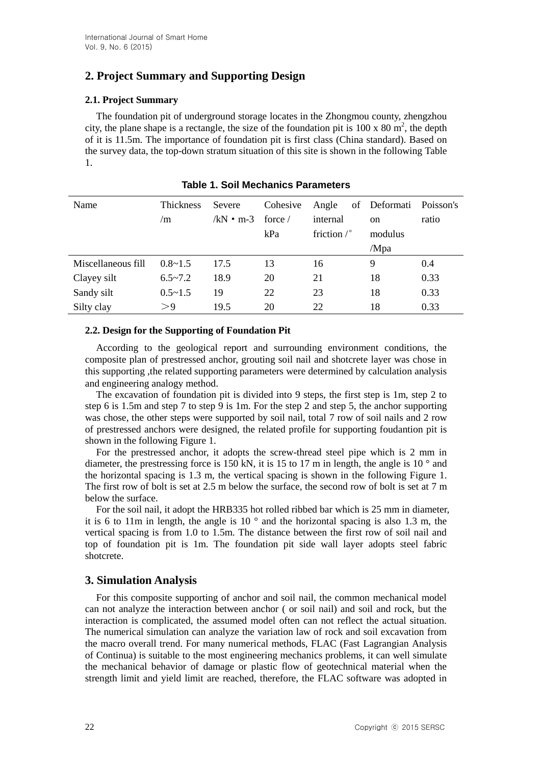# **2. Project Summary and Supporting Design**

## **2.1. Project Summary**

The foundation pit of underground storage locates in the Zhongmou county, zhengzhou city, the plane shape is a rectangle, the size of the foundation pit is  $100 \times 80 \text{ m}^2$ , the depth of it is 11.5m. The importance of foundation pit is first class (China standard). Based on the survey data, the top-down stratum situation of this site is shown in the following Table 1.

| Name               | <b>Thickness</b> | Severe    | Cohesive         | Angle                | of Deformati  | Poisson's |
|--------------------|------------------|-----------|------------------|----------------------|---------------|-----------|
|                    | /m               | /kN • m-3 | force $\sqrt{ }$ | internal             | <sub>on</sub> | ratio     |
|                    |                  |           | kPa              | friction $\sqrt{\ }$ | modulus       |           |
|                    |                  |           |                  |                      | /Mpa          |           |
| Miscellaneous fill | $0.8 \sim 1.5$   | 17.5      | 13               | 16                   | 9             | 0.4       |
| Clayey silt        | $6.5 - 7.2$      | 18.9      | 20               | 21                   | 18            | 0.33      |
| Sandy silt         | $0.5 \sim 1.5$   | 19        | 22               | 23                   | 18            | 0.33      |
| Silty clay         | >9               | 19.5      | 20               | 22                   | 18            | 0.33      |

|  |  | <b>Table 1. Soil Mechanics Parameters</b> |
|--|--|-------------------------------------------|
|  |  |                                           |

### **2.2. Design for the Supporting of Foundation Pit**

According to the geological report and surrounding environment conditions, the composite plan of prestressed anchor, grouting soil nail and shotcrete layer was chose in this supporting ,the related supporting parameters were determined by calculation analysis and engineering analogy method.

The excavation of foundation pit is divided into 9 steps, the first step is 1m, step 2 to step 6 is 1.5m and step 7 to step 9 is 1m. For the step 2 and step 5, the anchor supporting was chose, the other steps were supported by soil nail, total 7 row of soil nails and 2 row of prestressed anchors were designed, the related profile for supporting foudantion pit is shown in the following Figure 1.

For the prestressed anchor, it adopts the screw-thread steel pipe which is 2 mm in diameter, the prestressing force is 150 kN, it is 15 to 17 m in length, the angle is 10  $^{\circ}$  and the horizontal spacing is 1.3 m, the vertical spacing is shown in the following Figure 1. The first row of bolt is set at 2.5 m below the surface, the second row of bolt is set at 7 m below the surface.

For the soil nail, it adopt the HRB335 hot rolled ribbed bar which is 25 mm in diameter, it is 6 to 11m in length, the angle is 10 $\degree$  and the horizontal spacing is also 1.3 m, the vertical spacing is from 1.0 to 1.5m. The distance between the first row of soil nail and top of foundation pit is 1m. The foundation pit side wall layer adopts steel fabric shotcrete.

## **3. Simulation Analysis**

For this composite supporting of anchor and soil nail, the common mechanical model can not analyze the interaction between anchor ( or soil nail) and soil and rock, but the interaction is complicated, the assumed model often can not reflect the actual situation. The numerical simulation can analyze the variation law of rock and soil excavation from the macro overall trend. For many numerical methods, FLAC (Fast Lagrangian Analysis of Continua) is suitable to the most engineering mechanics problems, it can well simulate the mechanical behavior of damage or plastic flow of geotechnical material when the strength limit and yield limit are reached, therefore, the FLAC software was adopted in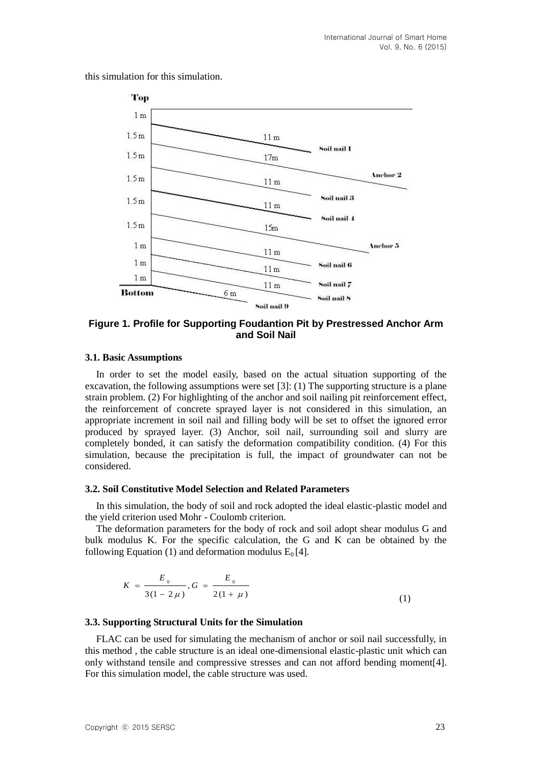this simulation for this simulation.



**Figure 1. Profile for Supporting Foudantion Pit by Prestressed Anchor Arm and Soil Nail**

#### **3.1. Basic Assumptions**

In order to set the model easily, based on the actual situation supporting of the excavation, the following assumptions were set  $[3]$ : (1) The supporting structure is a plane strain problem. (2) For highlighting of the anchor and soil nailing pit reinforcement effect, the reinforcement of concrete sprayed layer is not considered in this simulation, an appropriate increment in soil nail and filling body will be set to offset the ignored error produced by sprayed layer. (3) Anchor, soil nail, surrounding soil and slurry are completely bonded, it can satisfy the deformation compatibility condition. (4) For this simulation, because the precipitation is full, the impact of groundwater can not be considered.

#### **3.2. Soil Constitutive Model Selection and Related Parameters**

In this simulation, the body of soil and rock adopted the ideal elastic-plastic model and the yield criterion used Mohr - Coulomb criterion.

The deformation parameters for the body of rock and soil adopt shear modulus G and bulk modulus K. For the specific calculation, the G and K can be obtained by the following Equation (1) and deformation modulus  $E_0$  [4].

$$
K = \frac{E_0}{3(1 - 2\mu)}, G = \frac{E_0}{2(1 + \mu)}
$$
\n(1)

### **3.3. Supporting Structural Units for the Simulation**

FLAC can be used for simulating the mechanism of anchor or soil nail successfully, in this method , the cable structure is an ideal one-dimensional elastic-plastic unit which can only withstand tensile and compressive stresses and can not afford bending moment[4]. For this simulation model, the cable structure was used.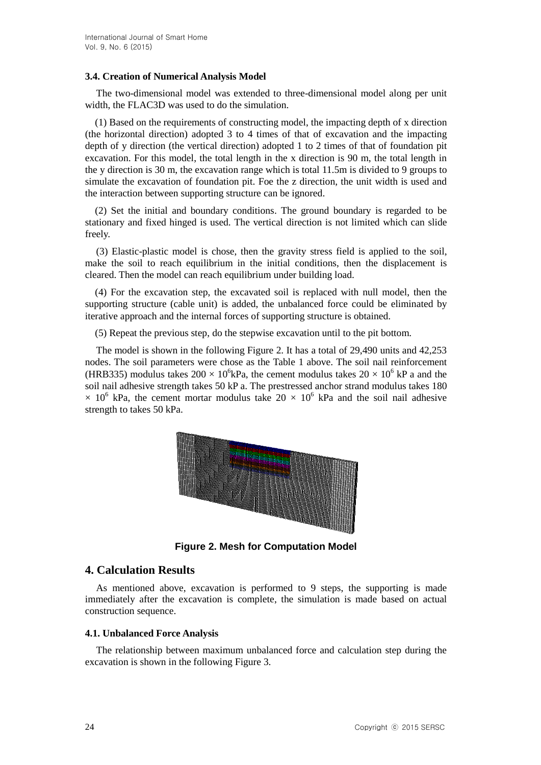### **3.4. Creation of Numerical Analysis Model**

The two-dimensional model was extended to three-dimensional model along per unit width, the FLAC3D was used to do the simulation.

 (1) Based on the requirements of constructing model, the impacting depth of x direction (the horizontal direction) adopted 3 to 4 times of that of excavation and the impacting depth of y direction (the vertical direction) adopted 1 to 2 times of that of foundation pit excavation. For this model, the total length in the x direction is 90 m, the total length in the y direction is 30 m, the excavation range which is total 11.5m is divided to 9 groups to simulate the excavation of foundation pit. Foe the z direction, the unit width is used and the interaction between supporting structure can be ignored.

 (2) Set the initial and boundary conditions. The ground boundary is regarded to be stationary and fixed hinged is used. The vertical direction is not limited which can slide freely.

(3) Elastic-plastic model is chose, then the gravity stress field is applied to the soil, make the soil to reach equilibrium in the initial conditions, then the displacement is cleared. Then the model can reach equilibrium under building load.

 (4) For the excavation step, the excavated soil is replaced with null model, then the supporting structure (cable unit) is added, the unbalanced force could be eliminated by iterative approach and the internal forces of supporting structure is obtained.

(5) Repeat the previous step, do the stepwise excavation until to the pit bottom.

The model is shown in the following Figure 2. It has a total of 29,490 units and 42,253 nodes. The soil parameters were chose as the Table 1 above. The soil nail reinforcement (HRB335) modulus takes  $200 \times 10^6$ kPa, the cement modulus takes  $20 \times 10^6$  kP a and the soil nail adhesive strength takes 50 kP a. The prestressed anchor strand modulus takes 180  $\times$  10<sup>6</sup> kPa, the cement mortar modulus take  $20 \times 10^6$  kPa and the soil nail adhesive strength to takes 50 kPa.



**Figure 2. Mesh for Computation Model**

## **4. Calculation Results**

immediately after the excavation is complete, the simulation is made based on actual As mentioned above, excavation is performed to 9 steps, the supporting is made construction sequence.

### **4.1. Unbalanced Force Analysis**

The relationship between maximum unbalanced force and calculation step during the excavation is shown in the following Figure 3.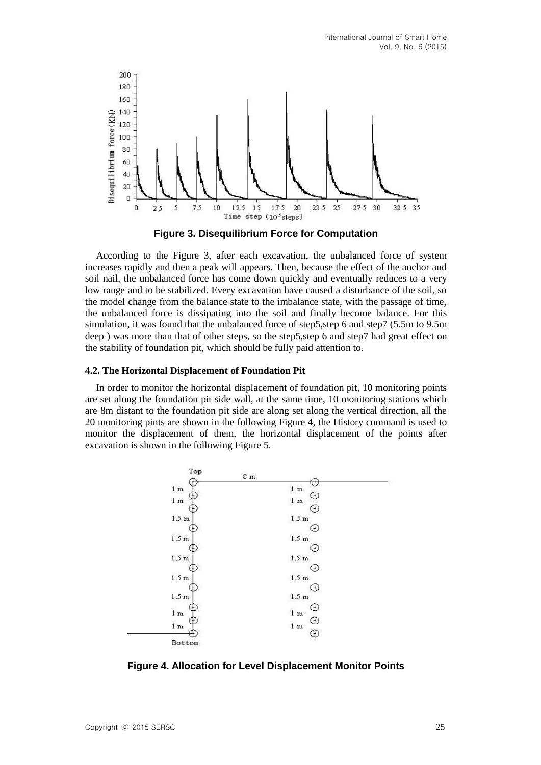

**Figure 3. Disequilibrium Force for Computation**

According to the Figure 3, after each excavation, the unbalanced force of system increases rapidly and then a peak will appears. Then, because the effect of the anchor and soil nail, the unbalanced force has come down quickly and eventually reduces to a very low range and to be stabilized. Every excavation have caused a disturbance of the soil, so the model change from the balance state to the imbalance state, with the passage of time, the unbalanced force is dissipating into the soil and finally become balance. For this simulation, it was found that the unbalanced force of step5,step 6 and step7 (5.5m to 9.5m deep ) was more than that of other steps, so the step5,step 6 and step7 had great effect on the stability of foundation pit, which should be fully paid attention to.

#### **4.2. The Horizontal Displacement of Foundation Pit**

In order to monitor the horizontal displacement of foundation pit, 10 monitoring points are set along the foundation pit side wall, at the same time, 10 monitoring stations which are 8m distant to the foundation pit side are along set along the vertical direction, all the 20 monitoring pints are shown in the following Figure 4, the History command is used to monitor the displacement of them, the horizontal displacement of the points after excavation is shown in the following Figure 5.



**Figure 4. Allocation for Level Displacement Monitor Points**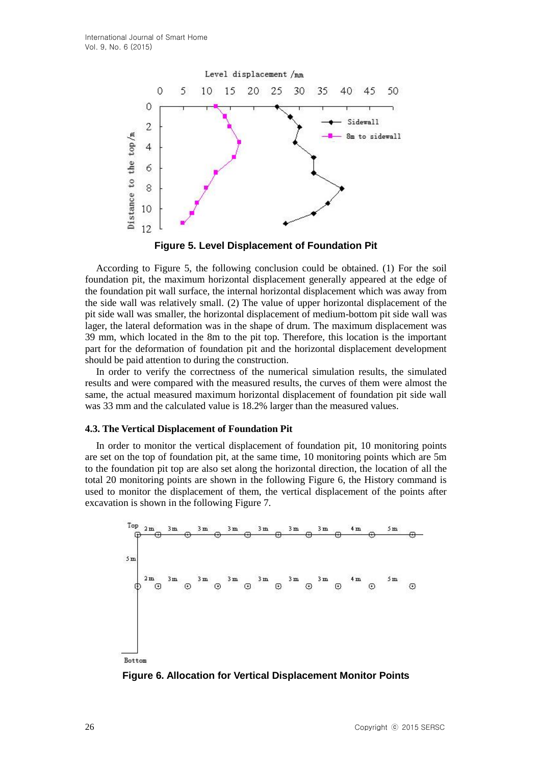

**Figure 5. Level Displacement of Foundation Pit**

According to Figure 5, the following conclusion could be obtained. (1) For the soil foundation pit, the maximum horizontal displacement generally appeared at the edge of the foundation pit wall surface, the internal horizontal displacement which was away from the side wall was relatively small. (2) The value of upper horizontal displacement of the pit side wall was smaller, the horizontal displacement of medium-bottom pit side wall was lager, the lateral deformation was in the shape of drum. The maximum displacement was 39 mm, which located in the 8m to the pit top. Therefore, this location is the important part for the deformation of foundation pit and the horizontal displacement development should be paid attention to during the construction.

In order to verify the correctness of the numerical simulation results, the simulated results and were compared with the measured results, the curves of them were almost the same, the actual measured maximum horizontal displacement of foundation pit side wall was 33 mm and the calculated value is 18.2% larger than the measured values.

#### **4.3. The Vertical Displacement of Foundation Pit**

In order to monitor the vertical displacement of foundation pit, 10 monitoring points are set on the top of foundation pit, at the same time, 10 monitoring points which are 5m to the foundation pit top are also set along the horizontal direction, the location of all the total 20 monitoring points are shown in the following Figure 6, the History command is used to monitor the displacement of them, the vertical displacement of the points after excavation is shown in the following Figure 7.



**Figure 6. Allocation for Vertical Displacement Monitor Points**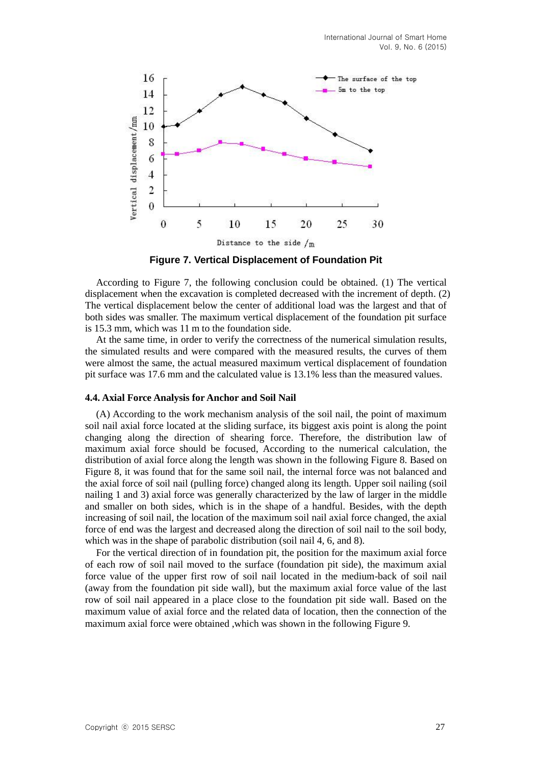

**Figure 7. Vertical Displacement of Foundation Pit**

According to Figure 7, the following conclusion could be obtained. (1) The vertical displacement when the excavation is completed decreased with the increment of depth. (2) The vertical displacement below the center of additional load was the largest and that of both sides was smaller. The maximum vertical displacement of the foundation pit surface is 15.3 mm, which was 11 m to the foundation side.

At the same time, in order to verify the correctness of the numerical simulation results, the simulated results and were compared with the measured results, the curves of them were almost the same, the actual measured maximum vertical displacement of foundation pit surface was 17.6 mm and the calculated value is 13.1% less than the measured values.

#### **4.4. Axial Force Analysis for Anchor and Soil Nail**

(A) According to the work mechanism analysis of the soil nail, the point of maximum soil nail axial force located at the sliding surface, its biggest axis point is along the point changing along the direction of shearing force. Therefore, the distribution law of maximum axial force should be focused, According to the numerical calculation, the distribution of axial force along the length was shown in the following Figure 8. Based on Figure 8, it was found that for the same soil nail, the internal force was not balanced and the axial force of soil nail (pulling force) changed along its length. Upper soil nailing (soil nailing 1 and 3) axial force was generally characterized by the law of larger in the middle and smaller on both sides, which is in the shape of a handful. Besides, with the depth increasing of soil nail, the location of the maximum soil nail axial force changed, the axial force of end was the largest and decreased along the direction of soil nail to the soil body, which was in the shape of parabolic distribution (soil nail 4, 6, and 8).

For the vertical direction of in foundation pit, the position for the maximum axial force of each row of soil nail moved to the surface (foundation pit side), the maximum axial force value of the upper first row of soil nail located in the medium-back of soil nail (away from the foundation pit side wall), but the maximum axial force value of the last row of soil nail appeared in a place close to the foundation pit side wall. Based on the maximum value of axial force and the related data of location, then the connection of the maximum axial force were obtained ,which was shown in the following Figure 9.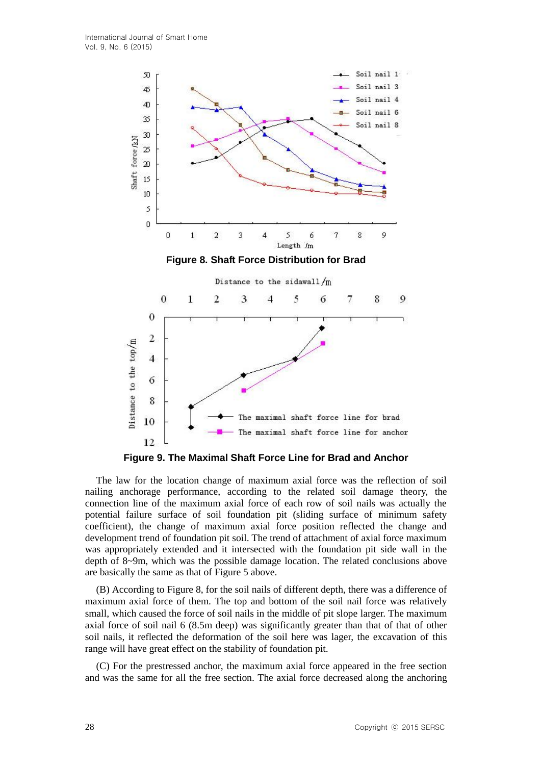

The law for the location change of maximum axial force was the reflection of soil nailing anchorage performance, according to the related soil damage theory, the connection line of the maximum axial force of each row of soil nails was actually the potential failure surface of soil foundation pit (sliding surface of minimum safety coefficient), the change of maximum axial force position reflected the change and development trend of foundation pit soil. The trend of attachment of axial force maximum was appropriately extended and it intersected with the foundation pit side wall in the depth of 8~9m, which was the possible damage location. The related conclusions above are basically the same as that of Figure 5 above.

(B) According to Figure 8, for the soil nails of different depth, there was a difference of maximum axial force of them. The top and bottom of the soil nail force was relatively small, which caused the force of soil nails in the middle of pit slope larger. The maximum axial force of soil nail 6 (8.5m deep) was significantly greater than that of that of other soil nails, it reflected the deformation of the soil here was lager, the excavation of this range will have great effect on the stability of foundation pit.

(C) For the prestressed anchor, the maximum axial force appeared in the free section and was the same for all the free section. The axial force decreased along the anchoring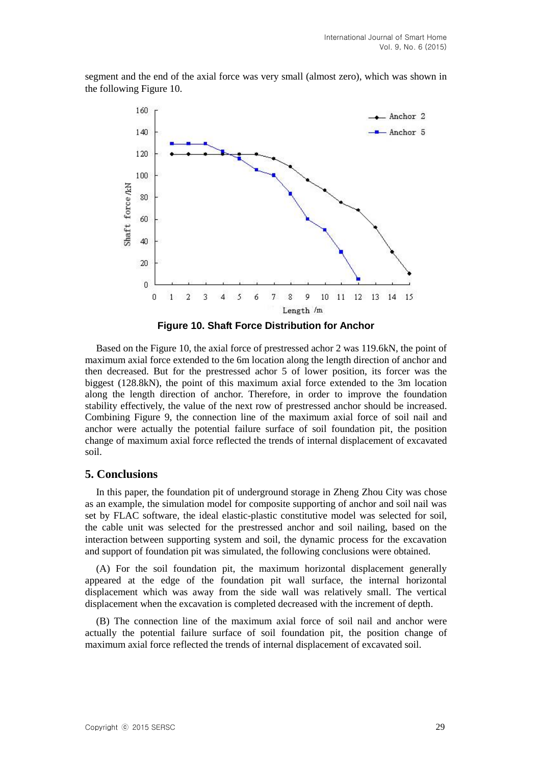segment and the end of the axial force was very small (almost zero), which was shown in the following Figure 10.



**Figure 10. Shaft Force Distribution for Anchor**

Based on the Figure 10, the axial force of prestressed achor 2 was 119.6kN, the point of maximum axial force extended to the 6m location along the length direction of anchor and then decreased. But for the prestressed achor 5 of lower position, its forcer was the biggest (128.8kN), the point of this maximum axial force extended to the 3m location along the length direction of anchor. Therefore, in order to improve the foundation stability effectively, the value of the next row of prestressed anchor should be increased. Combining Figure 9, the connection line of the maximum axial force of soil nail and anchor were actually the potential failure surface of soil foundation pit, the position change of maximum axial force reflected the trends of internal displacement of excavated soil.

### **5. Conclusions**

In this paper, the foundation pit of underground storage in Zheng Zhou City was chose as an example, the simulation model for composite supporting of anchor and soil nail was set by FLAC software, the ideal elastic-plastic constitutive model was selected for soil, the cable unit was selected for the prestressed anchor and soil nailing, based on the interaction between supporting system and soil, the dynamic process for the excavation and support of foundation pit was simulated, the following conclusions were obtained.

(A) For the soil foundation pit, the maximum horizontal displacement generally appeared at the edge of the foundation pit wall surface, the internal horizontal displacement which was away from the side wall was relatively small. The vertical displacement when the excavation is completed decreased with the increment of depth.

(B) The connection line of the maximum axial force of soil nail and anchor were actually the potential failure surface of soil foundation pit, the position change of maximum axial force reflected the trends of internal displacement of excavated soil.